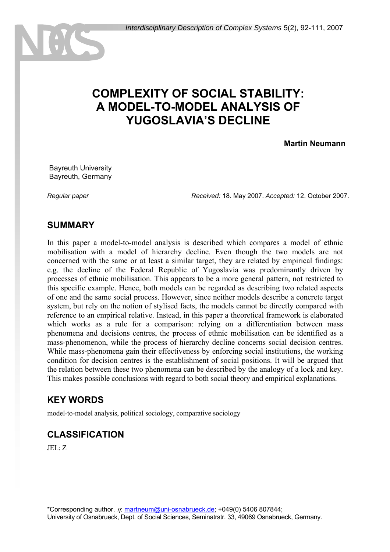# **COMPLEXITY OF SOCIAL STABILITY: A MODEL-TO-MODEL ANALYSIS OF YUGOSLAVIA'S DECLINE**

#### **Martin Neumann**

 Bayreuth University Bayreuth, Germany

*Regular paper Received:* 18. May 2007. *Accepted:* 12. October 2007.

## **SUMMARY**

In this paper a model-to-model analysis is described which compares a model of ethnic mobilisation with a model of hierarchy decline. Even though the two models are not concerned with the same or at least a similar target, they are related by empirical findings: e.g. the decline of the Federal Republic of Yugoslavia was predominantly driven by processes of ethnic mobilisation. This appears to be a more general pattern, not restricted to this specific example. Hence, both models can be regarded as describing two related aspects of one and the same social process. However, since neither models describe a concrete target system, but rely on the notion of stylised facts, the models cannot be directly compared with reference to an empirical relative. Instead, in this paper a theoretical framework is elaborated which works as a rule for a comparison: relying on a differentiation between mass phenomena and decisions centres, the process of ethnic mobilisation can be identified as a mass-phenomenon, while the process of hierarchy decline concerns social decision centres. While mass-phenomena gain their effectiveness by enforcing social institutions, the working condition for decision centres is the establishment of social positions. It will be argued that the relation between these two phenomena can be described by the analogy of a lock and key. This makes possible conclusions with regard to both social theory and empirical explanations.

## **KEY WORDS**

model-to-model analysis, political sociology, comparative sociology

## **CLASSIFICATION**

JEL: Z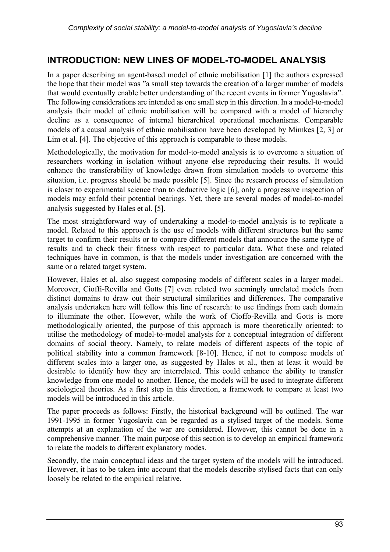## **INTRODUCTION: NEW LINES OF MODEL-TO-MODEL ANALYSIS**

In a paper describing an agent-based model of ethnic mobilisation [1] the authors expressed the hope that their model was "a small step towards the creation of a larger number of models that would eventually enable better understanding of the recent events in former Yugoslavia". The following considerations are intended as one small step in this direction. In a model-to-model analysis their model of ethnic mobilisation will be compared with a model of hierarchy decline as a consequence of internal hierarchical operational mechanisms. Comparable models of a causal analysis of ethnic mobilisation have been developed by Mimkes [2, 3] or Lim et al. [4]. The objective of this approach is comparable to these models.

Methodologically, the motivation for model-to-model analysis is to overcome a situation of researchers working in isolation without anyone else reproducing their results. It would enhance the transferability of knowledge drawn from simulation models to overcome this situation, i.e. progress should be made possible [5]. Since the research process of simulation is closer to experimental science than to deductive logic [6], only a progressive inspection of models may enfold their potential bearings. Yet, there are several modes of model-to-model analysis suggested by Hales et al. [5].

The most straightforward way of undertaking a model-to-model analysis is to replicate a model. Related to this approach is the use of models with different structures but the same target to confirm their results or to compare different models that announce the same type of results and to check their fitness with respect to particular data. What these and related techniques have in common, is that the models under investigation are concerned with the same or a related target system.

However, Hales et al. also suggest composing models of different scales in a larger model. Moreover, Cioffi-Revilla and Gotts [7] even related two seemingly unrelated models from distinct domains to draw out their structural similarities and differences. The comparative analysis undertaken here will follow this line of research: to use findings from each domain to illuminate the other. However, while the work of Cioffo-Revilla and Gotts is more methodologically oriented, the purpose of this approach is more theoretically oriented: to utilise the methodology of model-to-model analysis for a conceptual integration of different domains of social theory. Namely, to relate models of different aspects of the topic of political stability into a common framework [8-10]. Hence, if not to compose models of different scales into a larger one, as suggested by Hales et al., then at least it would be desirable to identify how they are interrelated. This could enhance the ability to transfer knowledge from one model to another. Hence, the models will be used to integrate different sociological theories. As a first step in this direction, a framework to compare at least two models will be introduced in this article.

The paper proceeds as follows: Firstly, the historical background will be outlined. The war 1991-1995 in former Yugoslavia can be regarded as a stylised target of the models. Some attempts at an explanation of the war are considered. However, this cannot be done in a comprehensive manner. The main purpose of this section is to develop an empirical framework to relate the models to different explanatory modes.

Secondly, the main conceptual ideas and the target system of the models will be introduced. However, it has to be taken into account that the models describe stylised facts that can only loosely be related to the empirical relative.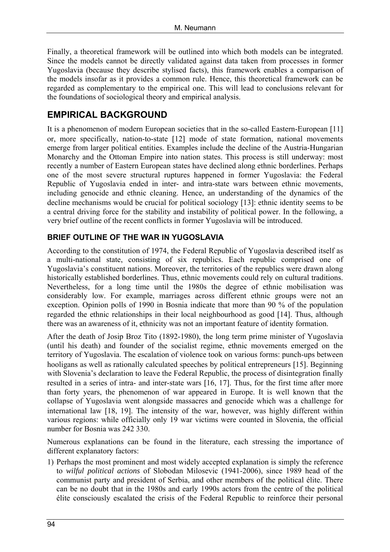Finally, a theoretical framework will be outlined into which both models can be integrated. Since the models cannot be directly validated against data taken from processes in former Yugoslavia (because they describe stylised facts), this framework enables a comparison of the models insofar as it provides a common rule. Hence, this theoretical framework can be regarded as complementary to the empirical one. This will lead to conclusions relevant for the foundations of sociological theory and empirical analysis.

## **EMPIRICAL BACKGROUND**

It is a phenomenon of modern European societies that in the so-called Eastern-European [11] or, more specifically, nation-to-state [12] mode of state formation, national movements emerge from larger political entities. Examples include the decline of the Austria-Hungarian Monarchy and the Ottoman Empire into nation states. This process is still underway: most recently a number of Eastern European states have declined along ethnic borderlines. Perhaps one of the most severe structural ruptures happened in former Yugoslavia: the Federal Republic of Yugoslavia ended in inter- and intra-state wars between ethnic movements, including genocide and ethnic cleaning. Hence, an understanding of the dynamics of the decline mechanisms would be crucial for political sociology [13]: ethnic identity seems to be a central driving force for the stability and instability of political power. In the following, a very brief outline of the recent conflicts in former Yugoslavia will be introduced.

### **BRIEF OUTLINE OF THE WAR IN YUGOSLAVIA**

According to the constitution of 1974, the Federal Republic of Yugoslavia described itself as a multi-national state, consisting of six republics. Each republic comprised one of Yugoslavia's constituent nations. Moreover, the territories of the republics were drawn along historically established borderlines. Thus, ethnic movements could rely on cultural traditions. Nevertheless, for a long time until the 1980s the degree of ethnic mobilisation was considerably low. For example, marriages across different ethnic groups were not an exception. Opinion polls of 1990 in Bosnia indicate that more than 90 % of the population regarded the ethnic relationships in their local neighbourhood as good [14]. Thus, although there was an awareness of it, ethnicity was not an important feature of identity formation.

After the death of Josip Broz Tito (1892-1980), the long term prime minister of Yugoslavia (until his death) and founder of the socialist regime, ethnic movements emerged on the territory of Yugoslavia. The escalation of violence took on various forms: punch-ups between hooligans as well as rationally calculated speeches by political entrepreneurs [15]. Beginning with Slovenia's declaration to leave the Federal Republic, the process of disintegration finally resulted in a series of intra- and inter-state wars [16, 17]. Thus, for the first time after more than forty years, the phenomenon of war appeared in Europe. It is well known that the collapse of Yugoslavia went alongside massacres and genocide which was a challenge for international law [18, 19]. The intensity of the war, however, was highly different within various regions: while officially only 19 war victims were counted in Slovenia, the official number for Bosnia was 242 330.

Numerous explanations can be found in the literature, each stressing the importance of different explanatory factors:

1) Perhaps the most prominent and most widely accepted explanation is simply the reference to *wilful political actions* of Slobodan Milosevic (1941-2006), since 1989 head of the communist party and president of Serbia, and other members of the political élite. There can be no doubt that in the 1980s and early 1990s actors from the centre of the political élite consciously escalated the crisis of the Federal Republic to reinforce their personal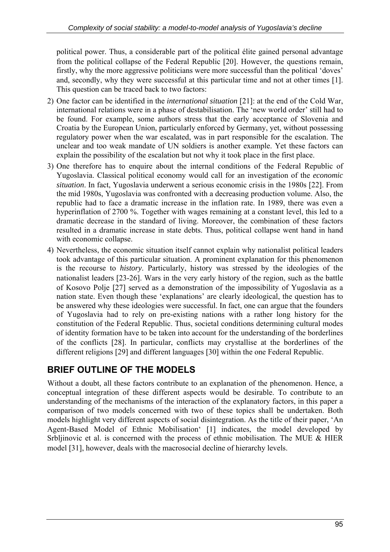political power. Thus, a considerable part of the political élite gained personal advantage from the political collapse of the Federal Republic [20]. However, the questions remain, firstly, why the more aggressive politicians were more successful than the political 'doves' and, secondly, why they were successful at this particular time and not at other times [1]. This question can be traced back to two factors:

- 2) One factor can be identified in the *international situation* [21]: at the end of the Cold War, international relations were in a phase of destabilisation. The 'new world order' still had to be found. For example, some authors stress that the early acceptance of Slovenia and Croatia by the European Union, particularly enforced by Germany, yet, without possessing regulatory power when the war escalated, was in part responsible for the escalation. The unclear and too weak mandate of UN soldiers is another example. Yet these factors can explain the possibility of the escalation but not why it took place in the first place.
- 3) One therefore has to enquire about the internal conditions of the Federal Republic of Yugoslavia. Classical political economy would call for an investigation of the *economic situation*. In fact, Yugoslavia underwent a serious economic crisis in the 1980s [22]. From the mid 1980s, Yugoslavia was confronted with a decreasing production volume. Also, the republic had to face a dramatic increase in the inflation rate. In 1989, there was even a hyperinflation of 2700 %. Together with wages remaining at a constant level, this led to a dramatic decrease in the standard of living. Moreover, the combination of these factors resulted in a dramatic increase in state debts. Thus, political collapse went hand in hand with economic collapse.
- 4) Nevertheless, the economic situation itself cannot explain why nationalist political leaders took advantage of this particular situation. A prominent explanation for this phenomenon is the recourse to *history*. Particularly, history was stressed by the ideologies of the nationalist leaders [23-26]. Wars in the very early history of the region, such as the battle of Kosovo Polje [27] served as a demonstration of the impossibility of Yugoslavia as a nation state. Even though these 'explanations' are clearly ideological, the question has to be answered why these ideologies were successful. In fact, one can argue that the founders of Yugoslavia had to rely on pre-existing nations with a rather long history for the constitution of the Federal Republic. Thus, societal conditions determining cultural modes of identity formation have to be taken into account for the understanding of the borderlines of the conflicts [28]. In particular, conflicts may crystallise at the borderlines of the different religions [29] and different languages [30] within the one Federal Republic.

## **BRIEF OUTLINE OF THE MODELS**

Without a doubt, all these factors contribute to an explanation of the phenomenon. Hence, a conceptual integration of these different aspects would be desirable. To contribute to an understanding of the mechanisms of the interaction of the explanatory factors, in this paper a comparison of two models concerned with two of these topics shall be undertaken. Both models highlight very different aspects of social disintegration. As the title of their paper, 'An Agent-Based Model of Ethnic Mobilisation' [1] indicates, the model developed by Srbljinovic et al. is concerned with the process of ethnic mobilisation. The MUE & HIER model [31], however, deals with the macrosocial decline of hierarchy levels.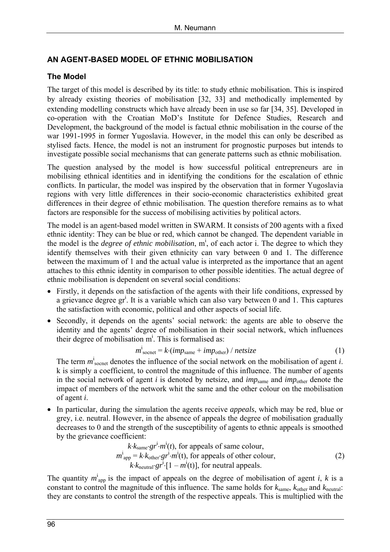### **AN AGENT-BASED MODEL OF ETHNIC MOBILISATION**

#### **The Model**

The target of this model is described by its title: to study ethnic mobilisation. This is inspired by already existing theories of mobilisation [32, 33] and methodically implemented by extending modelling constructs which have already been in use so far [34, 35]. Developed in co-operation with the Croatian MoD's Institute for Defence Studies, Research and Development, the background of the model is factual ethnic mobilisation in the course of the war 1991-1995 in former Yugoslavia. However, in the model this can only be described as stylised facts. Hence, the model is not an instrument for prognostic purposes but intends to investigate possible social mechanisms that can generate patterns such as ethnic mobilisation.

The question analysed by the model is how successful political entrepreneurs are in mobilising ethnical identities and in identifying the conditions for the escalation of ethnic conflicts. In particular, the model was inspired by the observation that in former Yugoslavia regions with very little differences in their socio-economic characteristics exhibited great differences in their degree of ethnic mobilisation. The question therefore remains as to what factors are responsible for the success of mobilising activities by political actors.

The model is an agent-based model written in SWARM. It consists of 200 agents with a fixed ethnic identity: They can be blue or red, which cannot be changed. The dependent variable in the model is the *degree of ethnic mobilisation*, m<sup>i</sup>, of each actor i. The degree to which they identify themselves with their given ethnicity can vary between 0 and 1. The difference between the maximum of 1 and the actual value is interpreted as the importance that an agent attaches to this ethnic identity in comparison to other possible identities. The actual degree of ethnic mobilisation is dependent on several social conditions:

- Firstly, it depends on the satisfaction of the agents with their life conditions, expressed by a grievance degree gr<sup>i</sup>. It is a variable which can also vary between 0 and 1. This captures the satisfaction with economic, political and other aspects of social life.
- Secondly, it depends on the agents' social network: the agents are able to observe the identity and the agents' degree of mobilisation in their social network, which influences their degree of mobilisation  $m^i$ . This is formalised as:

$$
m_{\text{score}}^i = k \cdot (imp_{\text{same}} + imp_{\text{other}}) / \text{netsize}
$$
 (1)

The term  $m_{\text{source}}^i$  denotes the influence of the social network on the mobilisation of agent *i*. k is simply a coefficient, to control the magnitude of this influence. The number of agents in the social network of agent *i* is denoted by netsize, and *imp*<sub>same</sub> and *imp*<sub>other</sub> denote the impact of members of the network whit the same and the other colour on the mobilisation of agent *i*.

• In particular, during the simulation the agents receive *appeals*, which may be red, blue or grey, i.e. neutral. However, in the absence of appeals the degree of mobilisation gradually decreases to 0 and the strength of the susceptibility of agents to ethnic appeals is smoothed by the grievance coefficient:

$$
k \cdot k_{\text{same}} \cdot gr^{i} \cdot m^{i}(t), \text{ for appeals of same colour,}
$$
  
\n
$$
m^{i}_{\text{app}} = k \cdot k_{\text{other}} \cdot gr^{i} \cdot m^{i}(t), \text{ for appeals of other colour,}
$$
  
\n
$$
k \cdot k_{\text{neutral}} \cdot gr^{i} \cdot [1 - m^{i}(t)], \text{ for neutral appeals.}
$$
 (2)

The quantity  $m^i_{app}$  is the impact of appeals on the degree of mobilisation of agent *i*, *k* is a constant to control the magnitude of this influence. The same holds for *k*same, *k*other and *k*neutral: they are constants to control the strength of the respective appeals. This is multiplied with the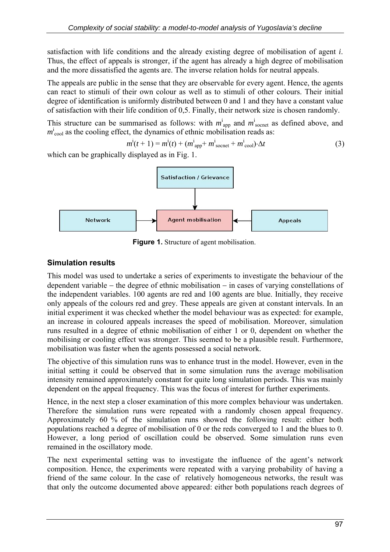satisfaction with life conditions and the already existing degree of mobilisation of agent *i*. Thus, the effect of appeals is stronger, if the agent has already a high degree of mobilisation and the more dissatisfied the agents are. The inverse relation holds for neutral appeals.

The appeals are public in the sense that they are observable for every agent. Hence, the agents can react to stimuli of their own colour as well as to stimuli of other colours. Their initial degree of identification is uniformly distributed between 0 and 1 and they have a constant value of satisfaction with their life condition of 0,5. Finally, their network size is chosen randomly.

This structure can be summarised as follows: with  $m_{app}^i$  and  $m_{socent}^i$  as defined above, and  $m_{\text{cool}}^{\text{i}}$  as the cooling effect, the dynamics of ethnic mobilisation reads as:

$$
m^{i}(t+1) = m^{i}(t) + (m^{i}_{app} + m^{i}_{\text{score}} + m^{i}_{\text{cool}}) \cdot \Delta t
$$
 (3)

which can be graphically displayed as in Fig. 1.



**Figure 1.** Structure of agent mobilisation.

#### **Simulation results**

This model was used to undertake a series of experiments to investigate the behaviour of the dependent variable − the degree of ethnic mobilisation − in cases of varying constellations of the independent variables. 100 agents are red and 100 agents are blue. Initially, they receive only appeals of the colours red and grey. These appeals are given at constant intervals. In an initial experiment it was checked whether the model behaviour was as expected: for example, an increase in coloured appeals increases the speed of mobilisation. Moreover, simulation runs resulted in a degree of ethnic mobilisation of either 1 or 0, dependent on whether the mobilising or cooling effect was stronger. This seemed to be a plausible result. Furthermore, mobilisation was faster when the agents possessed a social network.

The objective of this simulation runs was to enhance trust in the model. However, even in the initial setting it could be observed that in some simulation runs the average mobilisation intensity remained approximately constant for quite long simulation periods. This was mainly dependent on the appeal frequency. This was the focus of interest for further experiments.

Hence, in the next step a closer examination of this more complex behaviour was undertaken. Therefore the simulation runs were repeated with a randomly chosen appeal frequency. Approximately 60 % of the simulation runs showed the following result: either both populations reached a degree of mobilisation of 0 or the reds converged to 1 and the blues to 0. However, a long period of oscillation could be observed. Some simulation runs even remained in the oscillatory mode.

The next experimental setting was to investigate the influence of the agent's network composition. Hence, the experiments were repeated with a varying probability of having a friend of the same colour. In the case of relatively homogeneous networks, the result was that only the outcome documented above appeared: either both populations reach degrees of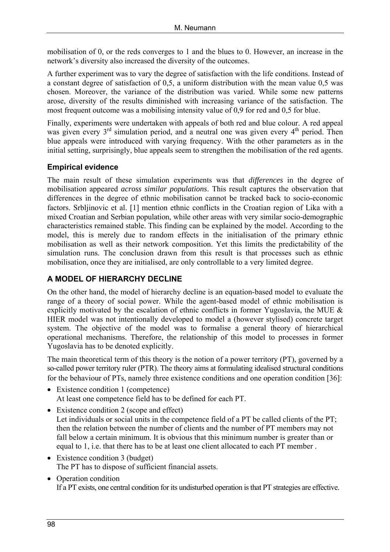mobilisation of 0, or the reds converges to 1 and the blues to 0. However, an increase in the network's diversity also increased the diversity of the outcomes.

A further experiment was to vary the degree of satisfaction with the life conditions. Instead of a constant degree of satisfaction of 0,5, a uniform distribution with the mean value 0,5 was chosen. Moreover, the variance of the distribution was varied. While some new patterns arose, diversity of the results diminished with increasing variance of the satisfaction. The most frequent outcome was a mobilising intensity value of 0,9 for red and 0,5 for blue.

Finally, experiments were undertaken with appeals of both red and blue colour. A red appeal was given every  $3<sup>rd</sup>$  simulation period, and a neutral one was given every  $4<sup>th</sup>$  period. Then blue appeals were introduced with varying frequency. With the other parameters as in the initial setting, surprisingly, blue appeals seem to strengthen the mobilisation of the red agents.

#### **Empirical evidence**

The main result of these simulation experiments was that *differences* in the degree of mobilisation appeared *across similar populations*. This result captures the observation that differences in the degree of ethnic mobilisation cannot be tracked back to socio-economic factors. Srbljinovic et al. [1] mention ethnic conflicts in the Croatian region of Lika with a mixed Croatian and Serbian population, while other areas with very similar socio-demographic characteristics remained stable. This finding can be explained by the model. According to the model, this is merely due to random effects in the initialisation of the primary ethnic mobilisation as well as their network composition. Yet this limits the predictability of the simulation runs. The conclusion drawn from this result is that processes such as ethnic mobilisation, once they are initialised, are only controllable to a very limited degree.

#### **A MODEL OF HIERARCHY DECLINE**

On the other hand, the model of hierarchy decline is an equation-based model to evaluate the range of a theory of social power. While the agent-based model of ethnic mobilisation is explicitly motivated by the escalation of ethnic conflicts in former Yugoslavia, the MUE & HIER model was not intentionally developed to model a (however stylised) concrete target system. The objective of the model was to formalise a general theory of hierarchical operational mechanisms. Therefore, the relationship of this model to processes in former Yugoslavia has to be denoted explicitly.

The main theoretical term of this theory is the notion of a power territory (PT), governed by a so-called power territory ruler (PTR). The theory aims at formulating idealised structural conditions for the behaviour of PTs, namely three existence conditions and one operation condition [36]:

- Existence condition 1 (competence) At least one competence field has to be defined for each PT.
- Existence condition 2 (scope and effect) Let individuals or social units in the competence field of a PT be called clients of the PT; then the relation between the number of clients and the number of PT members may not fall below a certain minimum. It is obvious that this minimum number is greater than or equal to 1, i.e. that there has to be at least one client allocated to each PT member .
- Existence condition 3 (budget) The PT has to dispose of sufficient financial assets.
- Operation condition If a PT exists, one central condition for its undisturbed operation is that PT strategies are effective.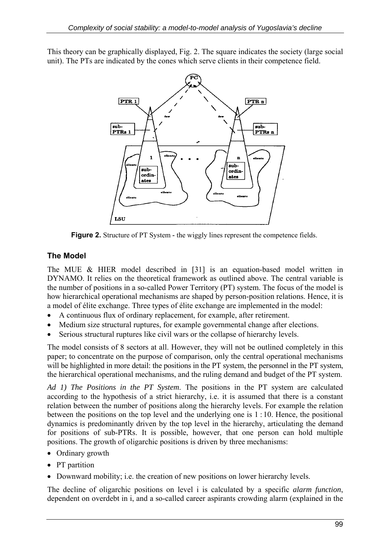This theory can be graphically displayed, Fig. 2. The square indicates the society (large social unit). The PTs are indicated by the cones which serve clients in their competence field.



**Figure 2.** Structure of PT System *-* the wiggly lines represent the competence fields.

## **The Model**

The MUE & HIER model described in [31] is an equation-based model written in DYNAMO. It relies on the theoretical framework as outlined above. The central variable is the number of positions in a so-called Power Territory (PT) system. The focus of the model is how hierarchical operational mechanisms are shaped by person-position relations. Hence, it is a model of élite exchange. Three types of élite exchange are implemented in the model:

- A continuous flux of ordinary replacement, for example, after retirement.
- Medium size structural ruptures, for example governmental change after elections.
- Serious structural ruptures like civil wars or the collapse of hierarchy levels.

The model consists of 8 sectors at all. However, they will not be outlined completely in this paper; to concentrate on the purpose of comparison, only the central operational mechanisms will be highlighted in more detail: the positions in the PT system, the personnel in the PT system, the hierarchical operational mechanisms, and the ruling demand and budget of the PT system.

*Ad 1) The Positions in the PT System*. The positions in the PT system are calculated according to the hypothesis of a strict hierarchy, i.e. it is assumed that there is a constant relation between the number of positions along the hierarchy levels. For example the relation between the positions on the top level and the underlying one is 1 : 10. Hence, the positional dynamics is predominantly driven by the top level in the hierarchy, articulating the demand for positions of sub-PTRs. It is possible, however, that one person can hold multiple positions. The growth of oligarchic positions is driven by three mechanisms:

- Ordinary growth
- PT partition
- Downward mobility; i.e. the creation of new positions on lower hierarchy levels.

The decline of oligarchic positions on level i is calculated by a specific *alarm function*, dependent on overdebt in i, and a so-called career aspirants crowding alarm (explained in the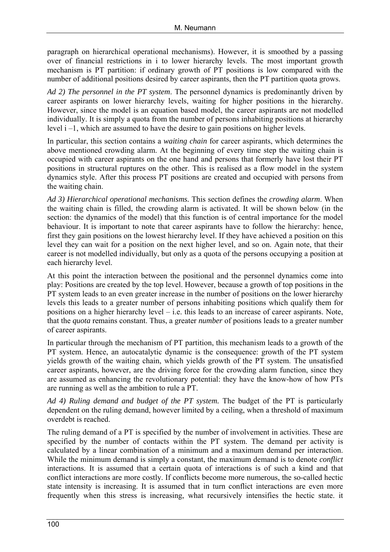paragraph on hierarchical operational mechanisms). However, it is smoothed by a passing over of financial restrictions in i to lower hierarchy levels. The most important growth mechanism is PT partition: if ordinary growth of PT positions is low compared with the number of additional positions desired by career aspirants, then the PT partition quota grows.

*Ad 2) The personnel in the PT system*. The personnel dynamics is predominantly driven by career aspirants on lower hierarchy levels, waiting for higher positions in the hierarchy. However, since the model is an equation based model, the career aspirants are not modelled individually. It is simply a quota from the number of persons inhabiting positions at hierarchy level i –1, which are assumed to have the desire to gain positions on higher levels.

In particular, this section contains a *waiting chain* for career aspirants, which determines the above mentioned crowding alarm. At the beginning of every time step the waiting chain is occupied with career aspirants on the one hand and persons that formerly have lost their PT positions in structural ruptures on the other. This is realised as a flow model in the system dynamics style. After this process PT positions are created and occupied with persons from the waiting chain.

*Ad 3) Hierarchical operational mechanisms.* This section defines the *crowding alarm*. When the waiting chain is filled, the crowding alarm is activated. It will be shown below (in the section: the dynamics of the model) that this function is of central importance for the model behaviour. It is important to note that career aspirants have to follow the hierarchy: hence, first they gain positions on the lowest hierarchy level. If they have achieved a position on this level they can wait for a position on the next higher level, and so on. Again note, that their career is not modelled individually, but only as a quota of the persons occupying a position at each hierarchy level.

At this point the interaction between the positional and the personnel dynamics come into play: Positions are created by the top level. However, because a growth of top positions in the PT system leads to an even greater increase in the number of positions on the lower hierarchy levels this leads to a greater number of persons inhabiting positions which qualify them for positions on a higher hierarchy level – i.e. this leads to an increase of career aspirants. Note, that the *quota* remains constant. Thus, a greater *number* of positions leads to a greater number of career aspirants.

In particular through the mechanism of PT partition, this mechanism leads to a growth of the PT system. Hence, an autocatalytic dynamic is the consequence: growth of the PT system yields growth of the waiting chain, which yields growth of the PT system. The unsatisfied career aspirants, however, are the driving force for the crowding alarm function, since they are assumed as enhancing the revolutionary potential: they have the know-how of how PTs are running as well as the ambition to rule a PT.

*Ad 4) Ruling demand and budget of the PT system.* The budget of the PT is particularly dependent on the ruling demand, however limited by a ceiling, when a threshold of maximum overdebt is reached.

The ruling demand of a PT is specified by the number of involvement in activities. These are specified by the number of contacts within the PT system. The demand per activity is calculated by a linear combination of a minimum and a maximum demand per interaction. While the minimum demand is simply a constant, the maximum demand is to denote *conflict*  interactions. It is assumed that a certain quota of interactions is of such a kind and that conflict interactions are more costly. If conflicts become more numerous, the so-called hectic state intensity is increasing. It is assumed that in turn conflict interactions are even more frequently when this stress is increasing, what recursively intensifies the hectic state. it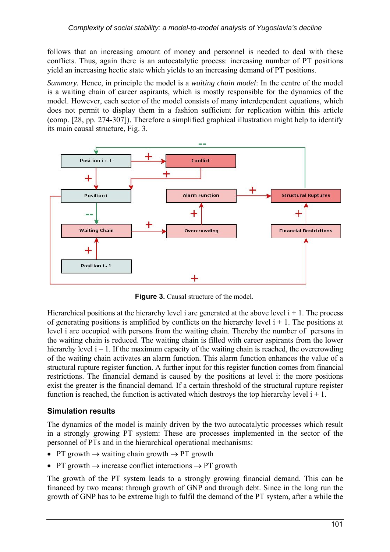follows that an increasing amount of money and personnel is needed to deal with these conflicts. Thus, again there is an autocatalytic process: increasing number of PT positions yield an increasing hectic state which yields to an increasing demand of PT positions.

*Summary.* Hence, in principle the model is a *waiting chain model*: In the centre of the model is a waiting chain of career aspirants, which is mostly responsible for the dynamics of the model. However, each sector of the model consists of many interdependent equations, which does not permit to display them in a fashion sufficient for replication within this article (comp. [28, pp. 274-307]). Therefore a simplified graphical illustration might help to identify its main causal structure, Fig. 3.



**Figure 3.** Causal structure of the model.

Hierarchical positions at the hierarchy level i are generated at the above level  $i + 1$ . The process of generating positions is amplified by conflicts on the hierarchy level  $i + 1$ . The positions at level i are occupied with persons from the waiting chain. Thereby the number of persons in the waiting chain is reduced. The waiting chain is filled with career aspirants from the lower hierarchy level  $i - 1$ . If the maximum capacity of the waiting chain is reached, the overcrowding of the waiting chain activates an alarm function. This alarm function enhances the value of a structural rupture register function. A further input for this register function comes from financial restrictions. The financial demand is caused by the positions at level i: the more positions exist the greater is the financial demand. If a certain threshold of the structural rupture register function is reached, the function is activated which destroys the top hierarchy level  $i + 1$ .

#### **Simulation results**

The dynamics of the model is mainly driven by the two autocatalytic processes which result in a strongly growing PT system: These are processes implemented in the sector of the personnel of PTs and in the hierarchical operational mechanisms:

- PT growth  $\rightarrow$  waiting chain growth  $\rightarrow$  PT growth
- PT growth  $\rightarrow$  increase conflict interactions  $\rightarrow$  PT growth

The growth of the PT system leads to a strongly growing financial demand. This can be financed by two means: through growth of GNP and through debt. Since in the long run the growth of GNP has to be extreme high to fulfil the demand of the PT system, after a while the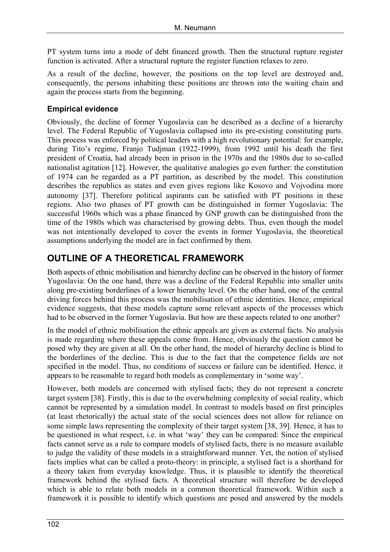PT system turns into a mode of debt financed growth. Then the structural rupture register function is activated. After a structural rupture the register function relaxes to zero.

As a result of the decline, however, the positions on the top level are destroyed and, consequently, the persons inhabiting these positions are thrown into the waiting chain and again the process starts from the beginning.

#### **Empirical evidence**

Obviously, the decline of former Yugoslavia can be described as a decline of a hierarchy level. The Federal Republic of Yugoslavia collapsed into its pre-existing constituting parts. This process was enforced by political leaders with a high revolutionary potential: for example, during Tito's regime, Franjo Tudjman (1922-1999), from 1992 until his death the first president of Croatia, had already been in prison in the 1970s and the 1980s due to so-called nationalist agitation [12]. However, the qualitative analogies go even further: the constitution of 1974 can be regarded as a PT partition, as described by the model. This constitution describes the republics as states and even gives regions like Kosovo and Vojvodina more autonomy [37]. Therefore political aspirants can be satisfied with PT positions in these regions. Also two phases of PT growth can be distinguished in former Yugoslavia: The successful 1960s which was a phase financed by GNP growth can be distinguished from the time of the 1980s which was characterised by growing debts. Thus, even though the model was not intentionally developed to cover the events in former Yugoslavia, the theoretical assumptions underlying the model are in fact confirmed by them.

## **OUTLINE OF A THEORETICAL FRAMEWORK**

Both aspects of ethnic mobilisation and hierarchy decline can be observed in the history of former Yugoslavia: On the one hand, there was a decline of the Federal Republic into smaller units along pre-existing borderlines of a lower hierarchy level. On the other hand, one of the central driving forces behind this process was the mobilisation of ethnic identities. Hence, empirical evidence suggests, that these models capture some relevant aspects of the processes which had to be observed in the former Yugoslavia. But how are these aspects related to one another?

In the model of ethnic mobilisation the ethnic appeals are given as external facts. No analysis is made regarding where these appeals come from. Hence, obviously the question cannot be posed why they are given at all. On the other hand, the model of hierarchy decline is blind to the borderlines of the decline. This is due to the fact that the competence fields are not specified in the model. Thus, no conditions of success or failure can be identified. Hence, it appears to be reasonable to regard both models as complementary in 'some way'.

However, both models are concerned with stylised facts; they do not represent a concrete target system [38]. Firstly, this is due to the overwhelming complexity of social reality, which cannot be represented by a simulation model. In contrast to models based on first principles (at least rhetorically) the actual state of the social sciences does not allow for reliance on some simple laws representing the complexity of their target system [38, 39]. Hence, it has to be questioned in what respect, i.e. in what 'way' they can be compared: Since the empirical facts cannot serve as a rule to compare models of stylised facts, there is no measure available to judge the validity of these models in a straightforward manner. Yet, the notion of stylised facts implies what can be called a proto-theory: in principle, a stylised fact is a shorthand for a theory taken from everyday knowledge. Thus, it is plausible to identify the theoretical framework behind the stylised facts. A theoretical structure will therefore be developed which is able to relate both models in a common theoretical framework. Within such a framework it is possible to identify which questions are posed and answered by the models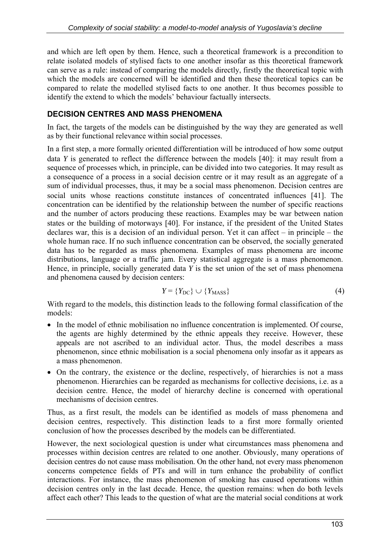and which are left open by them. Hence, such a theoretical framework is a precondition to relate isolated models of stylised facts to one another insofar as this theoretical framework can serve as a rule: instead of comparing the models directly, firstly the theoretical topic with which the models are concerned will be identified and then these theoretical topics can be compared to relate the modelled stylised facts to one another. It thus becomes possible to identify the extend to which the models' behaviour factually intersects.

#### **DECISION CENTRES AND MASS PHENOMENA**

In fact, the targets of the models can be distinguished by the way they are generated as well as by their functional relevance within social processes.

In a first step, a more formally oriented differentiation will be introduced of how some output data *Y* is generated to reflect the difference between the models [40]: it may result from a sequence of processes which, in principle, can be divided into two categories. It may result as a consequence of a process in a social decision centre or it may result as an aggregate of a sum of individual processes, thus, it may be a social mass phenomenon. Decision centres are social units whose reactions constitute instances of concentrated influences [41]. The concentration can be identified by the relationship between the number of specific reactions and the number of actors producing these reactions. Examples may be war between nation states or the building of motorways [40]. For instance, if the president of the United States declares war, this is a decision of an individual person. Yet it can affect – in principle – the whole human race. If no such influence concentration can be observed, the socially generated data has to be regarded as mass phenomena. Examples of mass phenomena are income distributions, language or a traffic jam. Every statistical aggregate is a mass phenomenon. Hence, in principle, socially generated data *Y* is the set union of the set of mass phenomena and phenomena caused by decision centers:

$$
Y = \{Y_{DC}\} \cup \{Y_{MASS}\}\tag{4}
$$

With regard to the models, this distinction leads to the following formal classification of the models:

- In the model of ethnic mobilisation no influence concentration is implemented. Of course, the agents are highly determined by the ethnic appeals they receive. However, these appeals are not ascribed to an individual actor. Thus, the model describes a mass phenomenon, since ethnic mobilisation is a social phenomena only insofar as it appears as a mass phenomenon.
- On the contrary, the existence or the decline, respectively, of hierarchies is not a mass phenomenon. Hierarchies can be regarded as mechanisms for collective decisions, i.e. as a decision centre. Hence, the model of hierarchy decline is concerned with operational mechanisms of decision centres.

Thus, as a first result, the models can be identified as models of mass phenomena and decision centres, respectively. This distinction leads to a first more formally oriented conclusion of how the processes described by the models can be differentiated.

However, the next sociological question is under what circumstances mass phenomena and processes within decision centres are related to one another. Obviously, many operations of decision centres do not cause mass mobilisation. On the other hand, not every mass phenomenon concerns competence fields of PTs and will in turn enhance the probability of conflict interactions. For instance, the mass phenomenon of smoking has caused operations within decision centres only in the last decade. Hence, the question remains: when do both levels affect each other? This leads to the question of what are the material social conditions at work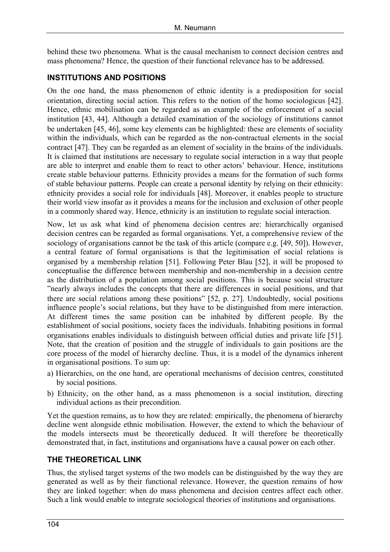behind these two phenomena. What is the causal mechanism to connect decision centres and mass phenomena? Hence, the question of their functional relevance has to be addressed.

#### **INSTITUTIONS AND POSITIONS**

On the one hand, the mass phenomenon of ethnic identity is a predisposition for social orientation, directing social action. This refers to the notion of the homo sociologicus [42]. Hence, ethnic mobilisation can be regarded as an example of the enforcement of a social institution [43, 44]. Although a detailed examination of the sociology of institutions cannot be undertaken [45, 46], some key elements can be highlighted: these are elements of sociality within the individuals, which can be regarded as the non-contractual elements in the social contract [47]. They can be regarded as an element of sociality in the brains of the individuals. It is claimed that institutions are necessary to regulate social interaction in a way that people are able to interpret and enable them to react to other actors' behaviour. Hence, institutions create stable behaviour patterns. Ethnicity provides a means for the formation of such forms of stable behaviour patterns. People can create a personal identity by relying on their ethnicity: ethnicity provides a social role for individuals [48]. Moreover, it enables people to structure their world view insofar as it provides a means for the inclusion and exclusion of other people in a commonly shared way. Hence, ethnicity is an institution to regulate social interaction.

Now, let us ask what kind of phenomena decision centres are: hierarchically organised decision centres can be regarded as formal organisations. Yet, a comprehensive review of the sociology of organisations cannot be the task of this article (compare e.g. [49, 50]). However, a central feature of formal organisations is that the legitimisation of social relations is organised by a membership relation [51]. Following Peter Blau [52], it will be proposed to conceptualise the difference between membership and non-membership in a decision centre as the distribution of a population among social positions. This is because social structure "nearly always includes the concepts that there are differences in social positions, and that there are social relations among these positions" [52, p. 27]. Undoubtedly, social positions influence people's social relations, but they have to be distinguished from mere interaction. At different times the same position can be inhabited by different people. By the establishment of social positions, society faces the individuals. Inhabiting positions in formal organisations enables individuals to distinguish between official duties and private life [51]. Note, that the creation of position and the struggle of individuals to gain positions are the core process of the model of hierarchy decline. Thus, it is a model of the dynamics inherent in organisational positions. To sum up:

- a) Hierarchies, on the one hand, are operational mechanisms of decision centres, constituted by social positions.
- b) Ethnicity, on the other hand, as a mass phenomenon is a social institution, directing individual actions as their precondition.

Yet the question remains, as to how they are related: empirically, the phenomena of hierarchy decline went alongside ethnic mobilisation. However, the extend to which the behaviour of the models intersects must be theoretically deduced. It will therefore be theoretically demonstrated that, in fact, institutions and organisations have a causal power on each other.

#### **THE THEORETICAL LINK**

Thus, the stylised target systems of the two models can be distinguished by the way they are generated as well as by their functional relevance. However, the question remains of how they are linked together: when do mass phenomena and decision centres affect each other. Such a link would enable to integrate sociological theories of institutions and organisations.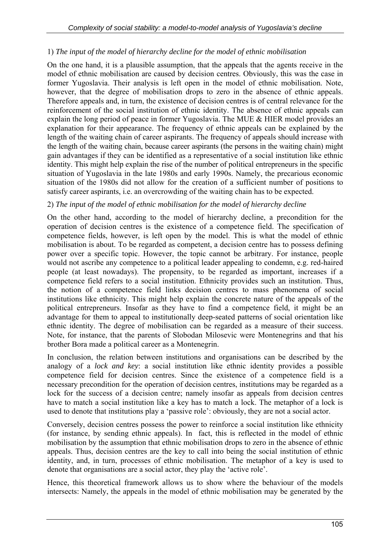#### 1) *The input of the model of hierarchy decline for the model of ethnic mobilisation*

On the one hand, it is a plausible assumption, that the appeals that the agents receive in the model of ethnic mobilisation are caused by decision centres. Obviously, this was the case in former Yugoslavia. Their analysis is left open in the model of ethnic mobilisation. Note, however, that the degree of mobilisation drops to zero in the absence of ethnic appeals. Therefore appeals and, in turn, the existence of decision centres is of central relevance for the reinforcement of the social institution of ethnic identity. The absence of ethnic appeals can explain the long period of peace in former Yugoslavia. The MUE & HIER model provides an explanation for their appearance. The frequency of ethnic appeals can be explained by the length of the waiting chain of career aspirants. The frequency of appeals should increase with the length of the waiting chain, because career aspirants (the persons in the waiting chain) might gain advantages if they can be identified as a representative of a social institution like ethnic identity. This might help explain the rise of the number of political entrepreneurs in the specific situation of Yugoslavia in the late 1980s and early 1990s. Namely, the precarious economic situation of the 1980s did not allow for the creation of a sufficient number of positions to satisfy career aspirants, i.e. an overcrowding of the waiting chain has to be expected.

#### 2) *The input of the model of ethnic mobilisation for the model of hierarchy decline*

On the other hand, according to the model of hierarchy decline, a precondition for the operation of decision centres is the existence of a competence field. The specification of competence fields, however, is left open by the model. This is what the model of ethnic mobilisation is about. To be regarded as competent, a decision centre has to possess defining power over a specific topic. However, the topic cannot be arbitrary. For instance, people would not ascribe any competence to a political leader appealing to condemn, e.g. red-haired people (at least nowadays). The propensity, to be regarded as important, increases if a competence field refers to a social institution. Ethnicity provides such an institution. Thus, the notion of a competence field links decision centres to mass phenomena of social institutions like ethnicity. This might help explain the concrete nature of the appeals of the political entrepreneurs. Insofar as they have to find a competence field, it might be an advantage for them to appeal to institutionally deep-seated patterns of social orientation like ethnic identity. The degree of mobilisation can be regarded as a measure of their success. Note, for instance, that the parents of Slobodan Milosevic were Montenegrins and that his brother Bora made a political career as a Montenegrin.

In conclusion, the relation between institutions and organisations can be described by the analogy of a *lock and key*: a social institution like ethnic identity provides a possible competence field for decision centres. Since the existence of a competence field is a necessary precondition for the operation of decision centres, institutions may be regarded as a lock for the success of a decision centre; namely insofar as appeals from decision centres have to match a social institution like a key has to match a lock. The metaphor of a lock is used to denote that institutions play a 'passive role': obviously, they are not a social actor.

Conversely, decision centres possess the power to reinforce a social institution like ethnicity (for instance, by sending ethnic appeals). In fact, this is reflected in the model of ethnic mobilisation by the assumption that ethnic mobilisation drops to zero in the absence of ethnic appeals. Thus, decision centres are the key to call into being the social institution of ethnic identity, and, in turn, processes of ethnic mobilisation. The metaphor of a key is used to denote that organisations are a social actor, they play the 'active role'.

Hence, this theoretical framework allows us to show where the behaviour of the models intersects: Namely, the appeals in the model of ethnic mobilisation may be generated by the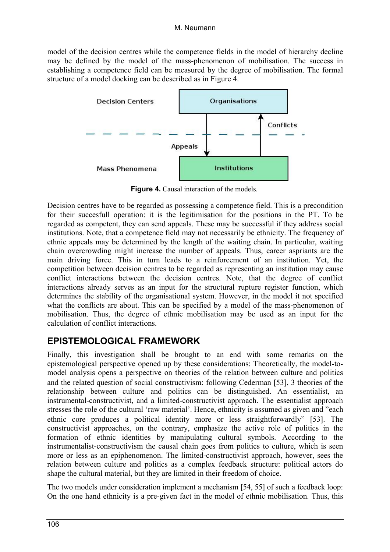model of the decision centres while the competence fields in the model of hierarchy decline may be defined by the model of the mass-phenomenon of mobilisation. The success in establishing a competence field can be measured by the degree of mobilisation. The formal structure of a model docking can be described as in Figure 4.



**Figure 4.** Causal interaction of the models.

Decision centres have to be regarded as possessing a competence field. This is a precondition for their succesfull operation: it is the legitimisation for the positions in the PT. To be regarded as competent, they can send appeals. These may be successful if they address social institutions. Note, that a competence field may not necessarily be ethnicity. The frequency of ethnic appeals may be determined by the length of the waiting chain. In particular, waiting chain overcrowding might increase the number of appeals. Thus, career aspriants are the main driving force. This in turn leads to a reinforcement of an institution. Yet, the competition between decision centres to be regarded as representing an institution may cause conflict interactions between the decision centres. Note, that the degree of conflict interactions already serves as an input for the structural rupture register function, which determines the stability of the organisational system. However, in the model it not specified what the conflicts are about. This can be specified by a model of the mass-phenomenon of mobilisation. Thus, the degree of ethnic mobilisation may be used as an input for the calculation of conflict interactions.

## **EPISTEMOLOGICAL FRAMEWORK**

Finally, this investigation shall be brought to an end with some remarks on the epistemological perspective opened up by these considerations: Theoretically, the model-tomodel analysis opens a perspective on theories of the relation between culture and politics and the related question of social constructivism: following Cederman [53], 3 theories of the relationship between culture and politics can be distinguished. An essentialist, an instrumental-constructivist, and a limited-constructivist approach. The essentialist approach stresses the role of the cultural 'raw material'. Hence, ethnicity is assumed as given and "each ethnic core produces a political identity more or less straightforwardly" [53]. The constructivist approaches, on the contrary, emphasize the active role of politics in the formation of ethnic identities by manipulating cultural symbols. According to the instrumentalist-constructivism the causal chain goes from politics to culture, which is seen more or less as an epiphenomenon. The limited-constructivist approach, however, sees the relation between culture and politics as a complex feedback structure: political actors do shape the cultural material, but they are limited in their freedom of choice.

The two models under consideration implement a mechanism [54, 55] of such a feedback loop: On the one hand ethnicity is a pre-given fact in the model of ethnic mobilisation. Thus, this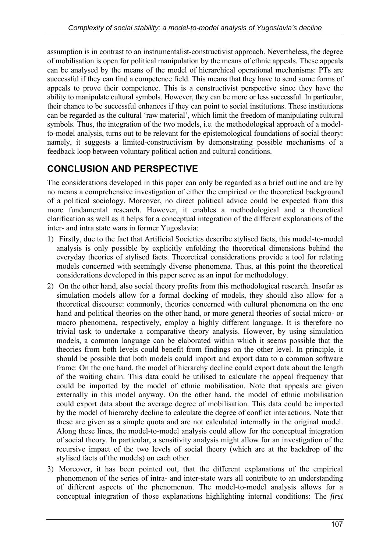assumption is in contrast to an instrumentalist-constructivist approach. Nevertheless, the degree of mobilisation is open for political manipulation by the means of ethnic appeals. These appeals can be analysed by the means of the model of hierarchical operational mechanisms: PTs are successful if they can find a competence field. This means that they have to send some forms of appeals to prove their competence. This is a constructivist perspective since they have the ability to manipulate cultural symbols. However, they can be more or less successful. In particular, their chance to be successful enhances if they can point to social institutions. These institutions can be regarded as the cultural 'raw material', which limit the freedom of manipulating cultural symbols. Thus, the integration of the two models, i.e. the methodological approach of a modelto-model analysis, turns out to be relevant for the epistemological foundations of social theory: namely, it suggests a limited-constructivism by demonstrating possible mechanisms of a feedback loop between voluntary political action and cultural conditions.

## **CONCLUSION AND PERSPECTIVE**

The considerations developed in this paper can only be regarded as a brief outline and are by no means a comprehensive investigation of either the empirical or the theoretical background of a political sociology. Moreover, no direct political advice could be expected from this more fundamental research. However, it enables a methodological and a theoretical clarification as well as it helps for a conceptual integration of the different explanations of the inter- and intra state wars in former Yugoslavia:

- 1) Firstly, due to the fact that Artificial Societies describe stylised facts, this model-to-model analysis is only possible by explicitly enfolding the theoretical dimensions behind the everyday theories of stylised facts. Theoretical considerations provide a tool for relating models concerned with seemingly diverse phenomena. Thus, at this point the theoretical considerations developed in this paper serve as an input for methodology.
- 2) On the other hand, also social theory profits from this methodological research. Insofar as simulation models allow for a formal docking of models, they should also allow for a theoretical discourse: commonly, theories concerned with cultural phenomena on the one hand and political theories on the other hand, or more general theories of social micro- or macro phenomena, respectively, employ a highly different language. It is therefore no trivial task to undertake a comparative theory analysis. However, by using simulation models, a common language can be elaborated within which it seems possible that the theories from both levels could benefit from findings on the other level. In principle, it should be possible that both models could import and export data to a common software frame: On the one hand, the model of hierarchy decline could export data about the length of the waiting chain. This data could be utilised to calculate the appeal frequency that could be imported by the model of ethnic mobilisation. Note that appeals are given externally in this model anyway. On the other hand, the model of ethnic mobilisation could export data about the average degree of mobilisation. This data could be imported by the model of hierarchy decline to calculate the degree of conflict interactions. Note that these are given as a simple quota and are not calculated internally in the original model. Along these lines, the model-to-model analysis could allow for the conceptual integration of social theory. In particular, a sensitivity analysis might allow for an investigation of the recursive impact of the two levels of social theory (which are at the backdrop of the stylised facts of the models) on each other.
- 3) Moreover, it has been pointed out, that the different explanations of the empirical phenomenon of the series of intra- and inter-state wars all contribute to an understanding of different aspects of the phenomenon. The model-to-model analysis allows for a conceptual integration of those explanations highlighting internal conditions: The *first*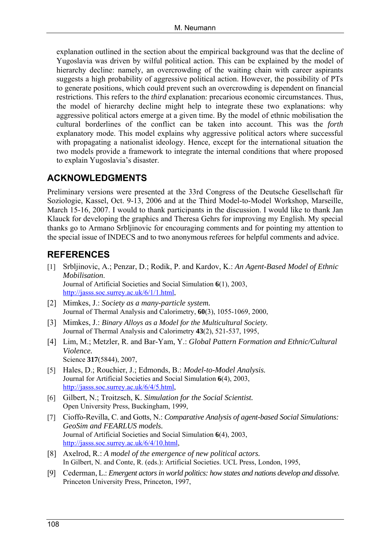explanation outlined in the section about the empirical background was that the decline of Yugoslavia was driven by wilful political action. This can be explained by the model of hierarchy decline: namely, an overcrowding of the waiting chain with career aspirants suggests a high probability of aggressive political action. However, the possibility of PTs to generate positions, which could prevent such an overcrowding is dependent on financial restrictions. This refers to the *third* explanation: precarious economic circumstances. Thus, the model of hierarchy decline might help to integrate these two explanations: why aggressive political actors emerge at a given time. By the model of ethnic mobilisation the cultural borderlines of the conflict can be taken into account. This was the *forth*  explanatory mode. This model explains why aggressive political actors where successful with propagating a nationalist ideology. Hence, except for the international situation the two models provide a framework to integrate the internal conditions that where proposed to explain Yugoslavia's disaster.

## **ACKNOWLEDGMENTS**

Preliminary versions were presented at the 33rd Congress of the Deutsche Gesellschaft für Soziologie, Kassel, Oct. 9-13, 2006 and at the Third Model-to-Model Workshop, Marseille, March 15-16, 2007. I would to thank participants in the discussion. I would like to thank Jan Klauck for developing the graphics and Theresa Gehrs for improving my English. My special thanks go to Armano Srbljinovic for encouraging comments and for pointing my attention to the special issue of INDECS and to two anonymous referees for helpful comments and advice.

## **REFERENCES**

- [1] Srbljinovic, A.; Penzar, D.; Rodik, P. and Kardov, K.: *An Agent-Based Model of Ethnic Mobilisation*. Journal of Artificial Societies and Social Simulation **6**(1), 2003, [http://jasss.soc.surrey.ac.uk/6/1/1.html,](http://jasss.soc.surrey.ac.uk/6/1/1.html)
- [2] Mimkes, J.: *Society as a many-particle system.* Journal of Thermal Analysis and Calorimetry, **60**(3), 1055-1069, 2000,
- [3] Mimkes, J.: *Binary Alloys as a Model for the Multicultural Society.* Journal of Thermal Analysis and Calorimetry **43**(2), 521-537, 1995,
- [4] Lim, M.; Metzler, R. and Bar-Yam, Y.: *Global Pattern Formation and Ethnic/Cultural Violence.* Science **317**(5844), 2007,
- [5] Hales, D.; Rouchier, J.; Edmonds, B.: *Model-to-Model Analysis.* Journal for Artificial Societies and Social Simulation **6**(4), 2003, [http://jasss.soc.surrey.ac.uk/6/4/5.html,](http://jasss.soc.surrey.ac.uk/6/4/5.html)
- [6] Gilbert, N.; Troitzsch, K. *Simulation for the Social Scientist.* Open University Press, Buckingham, 1999,
- [7] Cioffo-Revilla, C. and Gotts, N.: *Comparative Analysis of agent-based Social Simulations: GeoSim and FEARLUS models.* Journal of Artificial Societies and Social Simulation **6**(4), 2003, [http://jasss.soc.surrey.ac.uk/6/4/10.html,](http://jasss.soc.surrey.ac.uk/6/4/10.html)
- [8] Axelrod, R.: *A model of the emergence of new political actors.* In Gilbert, N. and Conte, R. (eds.): Artificial Societies. UCL Press, London, 1995,
- [9] Cederman, L.: *Emergent actors in world politics: how states and nations develop and dissolve.* Princeton University Press, Princeton, 1997,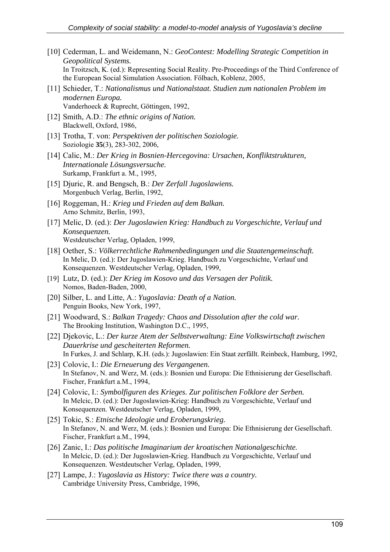- [10] Cederman, L. and Weidemann, N.: *GeoContest: Modelling Strategic Competition in Geopolitical Systems.* In Troitzsch, K. (ed.): Representing Social Reality. Pre-Proceedings of the Third Conference of the European Social Simulation Association. Fölbach, Koblenz, 2005,
- [11] Schieder, T.: *Nationalismus und Nationalstaat. Studien zum nationalen Problem im modernen Europa.* Vanderhoeck & Ruprecht, Göttingen, 1992,
- [12] Smith, A.D.: *The ethnic origins of Nation.* Blackwell, Oxford, 1986,
- [13] Trotha, T. von: *Perspektiven der politischen Soziologie.* Soziologie **35**(3), 283-302, 2006,
- [14] Calic, M.: *Der Krieg in Bosnien-Hercegovina: Ursachen, Konfliktstrukturen, Internationale Lösungsversuche.* Surkamp, Frankfurt a. M., 1995,
- [15] Djuric, R. and Bengsch, B.: *Der Zerfall Jugoslawiens.* Morgenbuch Verlag, Berlin, 1992,
- [16] Roggeman, H.: *Krieg und Frieden auf dem Balkan.* Arno Schmitz, Berlin, 1993,
- [17] Melic, D. (ed.): *Der Jugoslawien Krieg: Handbuch zu Vorgeschichte, Verlauf und Konsequenzen.* Westdeutscher Verlag, Opladen, 1999,
- [18] Oether, S.: *Völkerrechtliche Rahmenbedingungen und die Staatengemeinschaft.* In Melic, D. (ed.): Der Jugoslawien-Krieg. Handbuch zu Vorgeschichte, Verlauf und Konsequenzen. Westdeutscher Verlag, Opladen, 1999,
- [19] Lutz, D. (ed.): *Der Krieg im Kosovo und das Versagen der Politik.* Nomos, Baden-Baden, 2000,
- [20] Silber, L. and Litte, A.: *Yugoslavia: Death of a Nation.* Penguin Books, New York, 1997,
- [21] Woodward, S.: *Balkan Tragedy: Chaos and Dissolution after the cold war.* The Brooking Institution, Washington D.C., 1995,
- [22] Djekovic, L.: *Der kurze Atem der Selbstverwaltung: Eine Volkswirtschaft zwischen Dauerkrise und gescheiterten Reformen.* In Furkes, J. and Schlarp, K.H. (eds.): Jugoslawien: Ein Staat zerfällt. Reinbeck, Hamburg, 1992,
- [23] Colovic, I.: *Die Erneuerung des Vergangenen.* In Stefanov, N. and Werz, M. (eds.): Bosnien und Europa: Die Ethnisierung der Gesellschaft. Fischer, Frankfurt a.M., 1994,
- [24] Colovic, I.: *Symbolfiguren des Krieges. Zur politischen Folklore der Serben.* In Melcic, D. (ed.): Der Jugoslawien-Krieg: Handbuch zu Vorgeschichte, Verlauf und Konsequenzen. Westdeutscher Verlag, Opladen, 1999,
- [25] Tokic, S.: *Etnische Ideologie und Eroberungskrieg.* In Stefanov, N. and Werz, M. (eds.): Bosnien und Europa: Die Ethnisierung der Gesellschaft. Fischer, Frankfurt a.M., 1994,
- [26] Zanic, I.: *Das politische Imaginarium der kroatischen Nationalgeschichte.* In Melcic, D. (ed.): Der Jugoslawien-Krieg. Handbuch zu Vorgeschichte, Verlauf und Konsequenzen. Westdeutscher Verlag, Opladen, 1999,
- [27] Lampe, J.: *Yugoslavia as History: Twice there was a country.* Cambridge University Press, Cambridge, 1996,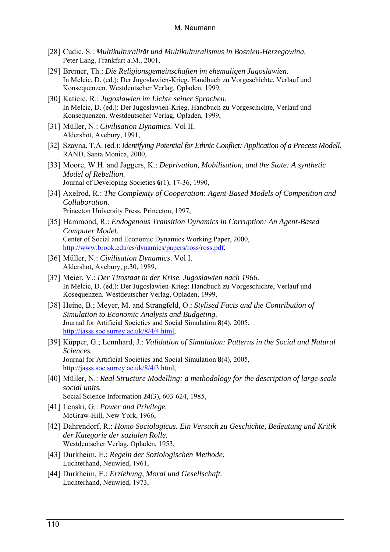- [28] Cudic, S.: *Multikulturalität und Multikulturalismus in Bosnien-Herzegowina.* Peter Lang, Frankfurt a.M., 2001,
- [29] Bremer, Th.: *Die Religionsgemeinschaften im ehemaligen Jugoslawien.* In Melcic, D. (ed.): Der Jugoslawien-Krieg. Handbuch zu Vorgeschichte, Verlauf und Konsequenzen. Westdeutscher Verlag, Opladen, 1999,
- [30] Katicic, R.: *Jugoslawien im Lichte seiner Sprachen.* In Melcic, D. (ed.): Der Jugoslawien-Krieg. Handbuch zu Vorgeschichte, Verlauf und Konsequenzen. Westdeutscher Verlag, Opladen, 1999,
- [31] Müller, N.: *Civilisation Dynamics.* Vol II. Aldershot, Avebury, 1991,
- [32] Szayna, T.A. (ed.): *Identifying Potential for Ethnic Conflict: Application of a Process Modell.* RAND, Santa Monica, 2000,
- [33] Moore, W.H. and Jaggers, K.: *Deprivation, Mobilisation, and the State: A synthetic Model of Rebellion.* Journal of Developing Societies **6**(1), 17-36, 1990,
- [34] Axelrod, R.: *The Complexity of Cooperation: Agent-Based Models of Competition and Collaboration.* Princeton University Press, Princeton, 1997,
- [35] Hammond, R.: *Endogenous Transition Dynamics in Corruption: An Agent-Based Computer Model.* Center of Social and Economic Dynamics Working Paper, 2000, [http://www.brook.edu/es/dynamics/papers/ross/ross.pdf,](http://www.brook.edu/es/dynamics/papers/ross/ross.pdf)
- [36] Müller, N.: *Civilisation Dynamics*. Vol I. Aldershot, Avebury, p.30, 1989,
- [37] Meier, V.: *Der Titostaat in der Krise. Jugoslawien nach 1966.* In Melcic, D. (ed.): Der Jugoslawien-Krieg: Handbuch zu Vorgeschichte, Verlauf und Kosequenzen. Westdeutscher Verlag, Opladen, 1999,
- [38] Heine, B.; Meyer, M. and Strangfeld, O.: *Stylised Facts and the Contribution of Simulation to Economic Analysis and Budgeting.* Journal for Artificial Societies and Social Simulation **8**(4), 2005, [http://jasss.soc.surrey.ac.uk/8/4/4.html,](http://jasss.soc.surrey.ac.uk/8/4/4.html)
- [39] Küpper, G.; Lennhard, J.: *Validation of Simulation: Patterns in the Social and Natural Sciences.* Journal for Artificial Societies and Social Simulation **8**(4), 2005, [http://jasss.soc.surrey.ac.uk/8/4/3.html,](http://jasss.soc.surrey.ac.uk/8/4/3.html)
- [40] Müller, N.: *Real Structure Modelling: a methodology for the description of large-scale social units.* Social Science Information **24**(3), 603-624, 1985,
- [41] Lenski, G.: *Power and Privilege.* McGraw-Hill, New York, 1966,
- [42] Dahrendorf, R.: *Homo Sociologicus. Ein Versuch zu Geschichte, Bedeutung und Kritik der Kategorie der sozialen Rolle.* Westdeutscher Verlag, Opladen, 1953,
- [43] Durkheim, E.: *Regeln der Soziologischen Methode.* Luchterhand, Neuwied, 1961,
- [44] Durkheim, E.: *Erziehung, Moral und Gesellschaft.* Luchterhand, Neuwied, 1973,